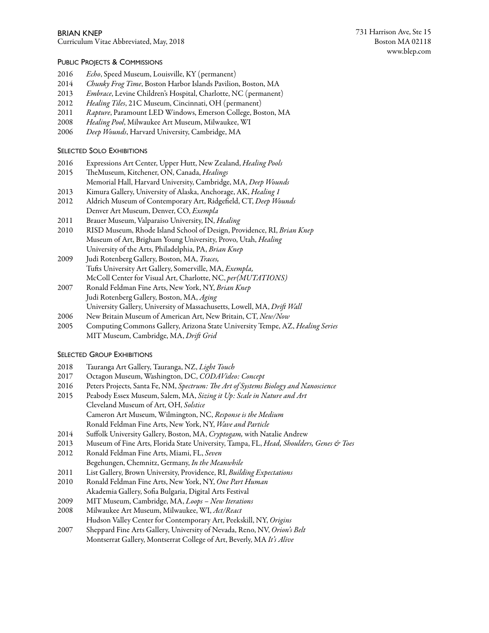Curriculum Vitae Abbreviated, May, 2018

## PUBLIC PROJECTS & COMMISSIONS

- 2016 *Echo*, Speed Museum, Louisville, KY (permanent)
- 2014 *Chunky Frog Time*, Boston Harbor Islands Pavilion, Boston, MA
- 2013 *Embrace*, Levine Children's Hospital, Charlotte, NC (permanent)
- 2012 *Healing Tiles*, 21C Museum, Cincinnati, OH (permanent)
- 2011 *Rapture*, Paramount LED Windows, Emerson College, Boston, MA
- 2008 *Healing Pool*, Milwaukee Art Museum, Milwaukee, WI
- 2006 *Deep Wounds*, Harvard University, Cambridge, MA

# SELECTED SOLO EXHIBITIONS

- 2016 Expressions Art Center, Upper Hutt, New Zealand, *Healing Pools*
- 2015 TheMuseum, Kitchener, ON, Canada, *Healings*
- Memorial Hall, Harvard University, Cambridge, MA, *Deep Wounds*
- 2013 Kimura Gallery, University of Alaska, Anchorage, AK, *Healing 1*
- 2012 Aldrich Museum of Contemporary Art, Ridgefield, CT, *Deep Wounds* Denver Art Museum, Denver, CO, *Exempla*
- 2011 Brauer Museum, Valparaiso University, IN, *Healing*
- 2010 RISD Museum, Rhode Island School of Design, Providence, RI, *Brian Knep* Museum of Art, Brigham Young University, Provo, Utah, *Healing* University of the Arts, Philadelphia, PA, *Brian Knep*
- 2009 Judi Rotenberg Gallery, Boston, MA, *Traces,* Tufs University Art Gallery, Somerville, MA, *Exempla,* McColl Center for Visual Art, Charlotte, NC, *per(MUTATIONS)*
- 2007 Ronald Feldman Fine Arts, New York, NY, *Brian Knep* Judi Rotenberg Gallery, Boston, MA, *Aging* University Gallery, University of Massachusetts, Lowell, MA, *Dri*f *Wall*
- 2006 New Britain Museum of American Art, New Britain, CT, *New/Now*
- 2005 Computing Commons Gallery, Arizona State U.niversity Tempe, AZ, *Healing Series* MIT Museum, Cambridge, MA, *Dri*f *Grid*

# SELECTED GROUP EXHIBITIONS

- 2018 Tauranga Art Gallery, Tauranga, NZ, *Light Touch*
- 2017 Octagon Museum, Washington, DC, *CODAVideo: Concept*
- 2016 Peters Projects, Santa Fe, NM, *Spectrum:* T*e Art of Systems Biology and Nanoscience*
- 2015 Peabody Essex Museum, Salem, MA, *Sizing it Up: Scale in Nature and Art* Cleveland Museum of Art, OH, *Solstice* Cameron Art Museum, Wilmington, NC, *Response is the Medium* Ronald Feldman Fine Arts, New York, NY, *Wave and Particle*
- 2014 Suffolk University Gallery, Boston, MA, *Cryptogam,* with Natalie Andrew
- 2013 Museum of Fine Arts, Florida State University, Tampa, FL, *Head, Shoulders, Genes & Toes*
- 2012 Ronald Feldman Fine Arts, Miami, FL, *Seven* Begehungen, Chemnitz, Germany, *In the Meanwhile*
- 2011 List Gallery, Brown University, Providence, RI, *Building Expectations*
- 2010 Ronald Feldman Fine Arts, New York, NY, *One Part Human* Akademia Gallery, Sofia Bulgaria, Digital Arts Festival
- 2009 MIT Museum, Cambridge, MA, *Loops New Iterations*
- 2008 Milwaukee Art Museum, Milwaukee, WI, *Act/React* Hudson Valley Center for Contemporary Art, Peekskill, NY, *Origins*
- 2007 Sheppard Fine Arts Gallery, University of Nevada, Reno, NV, *Orion's Belt* Montserrat Gallery, Montserrat College of Art, Beverly, MA *It's Ali*v*e*